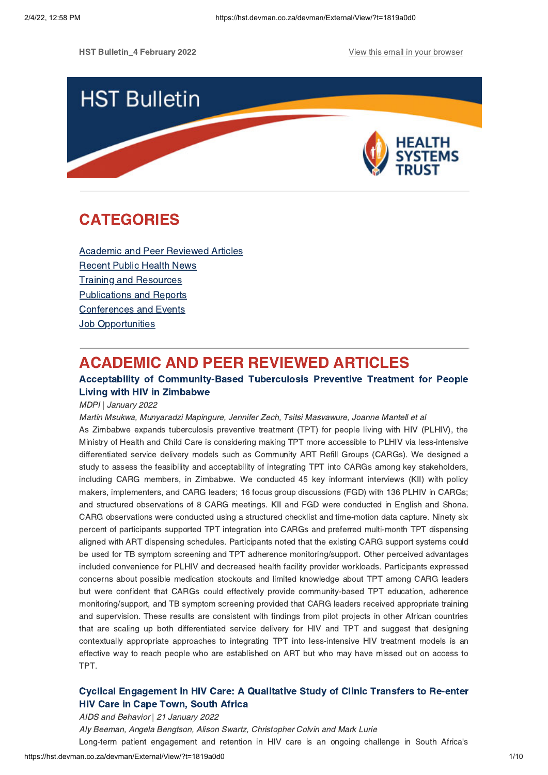

# **CATEGORIES** CATEGORIES<br>CATEGORIES

Academic and Peer [Reviewed](#page-0-0) Articles [Recent](#page-2-0) Public Health News Training and Resources [Publications](#page-7-0) and Reports [Conferences](#page-8-0) and Events **Job [Opportunities](#page-8-1)** 

# <span id="page-0-0"></span>**ACADEMIC AND PEER REVIEWED ARTICLES**

## Acceptability of Community-Based Tuberculosis Preventive Treatment for People Living with HIV in Zimbabwe

Living with HIV in Zimbabwe MDPI | January 2022

Martin Msukwa, Munyaradzi Mapingure, Jennifer Zech, Tsitsi Masvawure, Joanne Mantell et al

As Zimbabwe expands tuberculosis preventive treatment (TPT) for people living with HIV (PLHIV), the Ministry of Health and Child Care is considering making TPT more accessible to PLHIV via less-intensive differentiated service delivery models such as Community ART Refill Groups (CARGs). We designed a study to assess the feasibility and acceptability of integrating TPT into CARGs among key stakeholders, including CARG members, in Zimbabwe. We conducted 45 key informant interviews (KII) with policy makers, implementers, and CARG leaders; 16 focus group discussions (FGD) with 136 PLHIV in CARGs; and structured observations of 8 CARG meetings. KII and FGD were conducted in English and Shona. CARG observations were conducted using a structured checklist and time-motion data capture. Ninety six percent of participants supported TPT integration into CARGs and preferred multi-month TPT dispensing aligned with ART dispensing schedules. Participants noted that the existing CARG support systems could be used for TB symptom screening and TPT adherence monitoring/support. Other perceived advantages included convenience for PLHIV and decreased health facility provider workloads. Participants expressed concerns about possible medication stockouts and limited knowledge about TPT among CARG leaders but were confident that CARGs could effectively provide community-based TPT education, adherence monitoring/support, and TB symptom screening provided that CARG leaders received appropriate training and supervision. These results are consistent with findings from pilot projects in other African countries that are scaling up both differentiated service delivery for HIV and TPT and suggest that designing contextually appropriate approaches to integrating TPT into less-intensive HIV treatment models is an effective way to reach people who are established on ART but who may have missed out on access to TPT.

# Cyclical [Engagement](https://hst.devman.co.za/devman/external/?t=981ec488) in HIV Care: A Qualitative Study of Clinic Transfers to Re-enter

AIDS and Behavior | 21 January 2022 Aly Beeman, Angela Bengtson, Alison Swartz, Christopher Colvin and Mark Lurie Long-term patient engagement and retention in HIV care is an ongoing challenge in South Africa's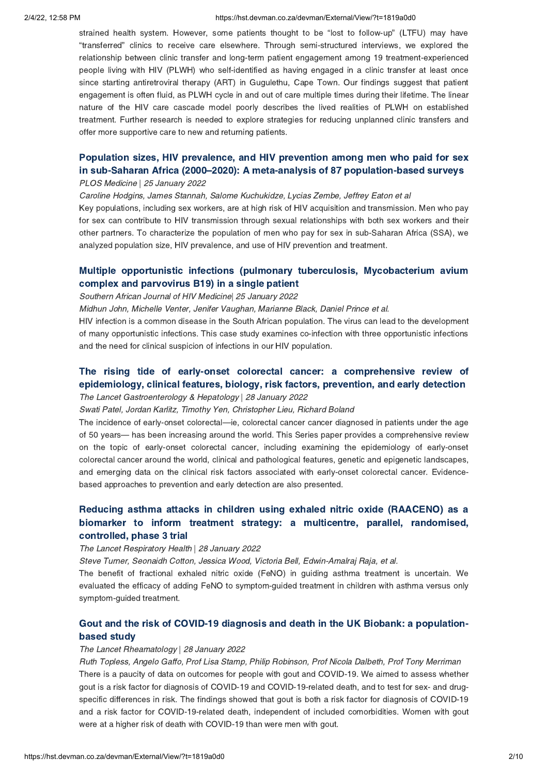### 2/4/22, 12:58 PM https://hst.devman.co.za/devman/External/View/?t=1819a0d0

strained health system. However, some patients thought to be "lost to follow-up" (LTFU) may have "transferred" clinics to receive care elsewhere. Through semi-structured interviews, we explored the relationship between clinic transfer and long-term patient engagement among 19 treatment-experienced people living with HIV (PLWH) who self-identified as having engaged in a clinic transfer at least once since starting antiretroviral therapy (ART) in Gugulethu, Cape Town. Our findings suggest that patient engagement is often fluid, as PLWH cycle in and out of care multiple times during their lifetime. The linear nature of the HIV care cascade model poorly describes the lived realities of PLWH on established treatment. Further research is needed to explore strategies for reducing unplanned clinic transfers and offer more supportive care to new and returning patients.

# Population sizes, HIV prevalence, and HIV prevention among men who paid for sex<br>in sub-Saharan Africa (2000[–](https://hst.devman.co.za/devman/external/?t=f69b52e7)2020): A meta-analysis of 87 population-based surveys<br>PLOS Medicine | 25 January 2022

### PLOS Medicine | 25 January 2022

Caroline Hodgins, James Stannah, Salome Kuchukidze, Lycias Zembe, Jeffrey Eaton et al

Key populations, including sex workers, are at high risk of HIV acquisition and transmission. Men who pay for sex can contribute to HIV transmission through sexual relationships with both sex workers and their other partners. To characterize the population of men who pay for sex in sub-Saharan Africa (SSA), we analyzed population size, HIV prevalence, and use of HIV prevention and treatment.

# Multiple opportunistic infections (pulmonary tuberculosis, [Mycobacterium](https://hst.devman.co.za/devman/external/?t=c0a75ec2) avium

# southern African Journal of HIV Medicine 25 January 2022

Midhun John, Michelle Venter, Jenifer Vaughan, Marianne Black, Daniel Prince et al.

HIV infection is a common disease in the South African population. The virus can lead to the development of many opportunistic infections. This case study examines co-infection with three opportunistic infections and the need for clinical suspicion of infections in our HIV population.

# The rising tide of early-onset colorectal cancer: a [comprehensive](https://hst.devman.co.za/devman/external/?t=a8762b21) review of epidemiology, clinical features, biology, risk factors, prevention, and early detection epidemiology, clinical features, biology, risk factors, prevention, and early detection The Lancet Gastroenterology & Hepatology | 28 January 2022

Swati Patel, Jordan Karlitz, Timothy Yen, Christopher Lieu, Richard Boland

The incidence of early-onset colorectal—ie, colorectal cancer cancer diagnosed in patients under the age of 50 years— has been increasing around the world. This Series paper provides a comprehensive review on the topic of early-onset colorectal cancer, including examining the epidemiology of early-onset colorectal cancer around the world, clinical and pathological features, genetic and epigenetic landscapes, and emerging data on the clinical risk factors associated with early-onset colorectal cancer. Evidencebased approaches to prevention and early detection are also presented.

# Reducing asthma attacks in children using exhaled nitric oxide (RAACENO) as a biomarker to inform treatment strategy: a multicentre, parallel, randomised, controlled, phase 3 trial

# controlled, phase 3 trial The Lancet Respiratory Health | 28 January 2022

Steve Turner, Seonaidh Cotton, Jessica Wood, Victoria Bell, Edwin-Amalraj Raja, et al.

The benefit of fractional exhaled nitric oxide (FeNO) in guiding asthma treatment is uncertain. We evaluated the efficacy of adding FeNO to symptom-guided treatment in children with asthma versus only symptom-guided treatment.

# Gout and the risk of COVID-19 diagnosis and death in the UK Biobank: a [population-](https://hst.devman.co.za/devman/external/?t=1710c463)

# and study<br>The Lancet Rheamatology | 28 January 2022

Ruth Topless, Angelo Gaffo, Prof Lisa Stamp, Philip Robinson, Prof Nicola Dalbeth, Prof Tony Merriman There is a paucity of data on outcomes for people with gout and COVID-19. We aimed to assess whether gout is a risk factor for diagnosis of COVID-19 and COVID-19-related death, and to test for sex- and drugspecific differences in risk. The findings showed that gout is both a risk factor for diagnosis of COVID-19 and a risk factor for COVID-19-related death, independent of included comorbidities. Women with gout were at a higher risk of death with COVID-19 than were men with gout.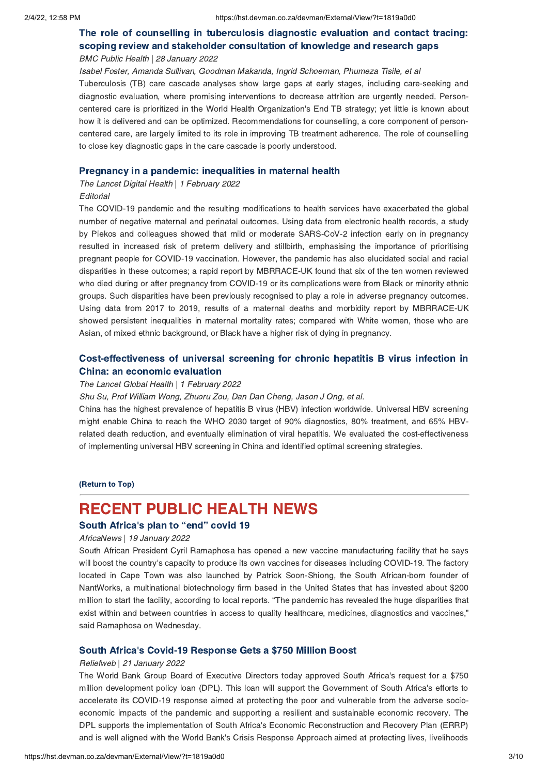# The role of counselling in [tuberculosis](https://hst.devman.co.za/devman/external/?t=46924a3e) diagnostic evaluation and contact tracing:<br>scoping review and stakeholder consultation of knowledge and research gaps scoping review and stakeholder consultation of knowledge and research gaps BMC Public Health | 28 January 2022

Isabel Foster, Amanda Sullivan, Goodman Makanda, Ingrid Schoeman, Phumeza Tisile, et al Tuberculosis (TB) care cascade analyses show large gaps at early stages, including care-seeking and diagnostic evaluation, where promising interventions to decrease attrition are urgently needed. Personcentered care is prioritized in the World Health Organization's End TB strategy; yet little is known about how it is delivered and can be optimized. Recommendations for counselling, a core component of personcentered care, are largely limited to its role in improving TB treatment adherence. The role of counselling to close key diagnostic gaps in the care cascade is poorly understood.

Pregnancy in a pandemic: inequalities in maternal health The Lancet Digital Health | 1 February 2022

## **Editorial**

The COVID-19 pandemic and the resulting modifications to health services have exacerbated the global number of negative maternal and perinatal outcomes. Using data from electronic health records, a study by Piekos and colleagues showed that mild or moderate SARS-CoV-2 infection early on in pregnancy resulted in increased risk of preterm delivery and stillbirth, emphasising the importance of prioritising pregnant people for COVID-19 vaccination. However, the pandemic has also elucidated social and racial disparities in these outcomes; a rapid report by MBRRACE-UK found that six of the ten women reviewed who died during or after pregnancy from COVID-19 or its complications were from Black or minority ethnic groups. Such disparities have been previously recognised to play a role in adverse pregnancy outcomes. Using data from 2017 to 2019, results of a maternal deaths and morbidity report by MBRRACE-UK showed persistent inequalities in maternal mortality rates; compared with White women, those who are Asian, of mixed ethnic background, or Black have a higher risk of dying in pregnancy.

# [Cost-effectiveness](https://hst.devman.co.za/devman/external/?t=681c6a37) of universal screening for chronic hepatitis B virus infection in

# The Lancet Global Health | 1 February 2022

Shu Su, Prof William Wong, Zhuoru Zou, Dan Dan Cheng, Jason J Ong, et al.

China has the highest prevalence of hepatitis B virus (HBV) infection worldwide. Universal HBV screening might enable China to reach the WHO 2030 target of 90% diagnostics, 80% treatment, and 65% HBVrelated death reduction, and eventually elimination of viral hepatitis. We evaluated the cost-effectiveness of implementing universal HBV screening in China and identified optimal screening strategies.

(Return to Top)

## <span id="page-2-0"></span>**RECENT PUBLIC HEALTH NEWS**

# South Africa's plan to "end" covid 19<br>AfricaNews | 19 January 2022

### AfricaNews | 19 January 2022

South African President Cyril Ramaphosa has opened a new vaccine manufacturing facility that he says will boost the country's capacity to produce its own vaccines for diseases including COVID-19. The factory located in Cape Town was also launched by Patrick Soon-Shiong, the South African-born founder of NantWorks, a multinational biotechnology firm based in the United States that has invested about \$200 million to start the facility, according to local reports. "The pandemic has revealed the huge disparities that exist within and between countries in access to quality healthcare, medicines, diagnostics and vaccines," said Ramaphosa on Wednesday.

### South Africa['](https://hst.devman.co.za/devman/external/?t=60094179)s Covid-19 Response Gets a \$750 Million Boost

### Reliefweb | 21 January 2022

The World Bank Group Board of Executive Directors today approved South Africa's request for a \$750 million development policy loan (DPL). This loan will support the Government of South Africa's efforts to accelerate its COVID-19 response aimed at protecting the poor and vulnerable from the adverse socioeconomic impacts of the pandemic and supporting a resilient and sustainable economic recovery. The DPL supports the implementation of South Africa's Economic Reconstruction and Recovery Plan (ERRP) and is well aligned with the World Bank's Crisis Response Approach aimed at protecting lives, livelihoods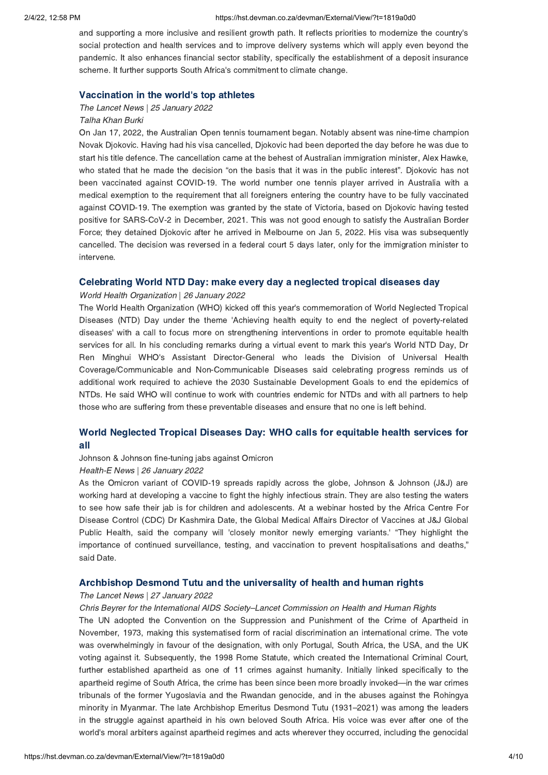### 2/4/22, 12:58 PM https://hst.devman.co.za/devman/External/View/?t=1819a0d0

and supporting a more inclusive and resilient growth path. It reflects priorities to modernize the country's social protection and health services and to improve delivery systems which will apply even beyond the pandemic. It also enhances financial sector stability, specifically the establishment of a deposit insurance scheme. It further supports South Africa's commitment to climate change.

### Vaccination in the world['](https://hst.devman.co.za/devman/external/?t=be85cfd8)s top athletes

### The Lancet News | 25 January 2022 Talha Khan Burki

On Jan 17, 2022, the Australian Open tennis tournament began. Notably absent was nine-time champion Novak Djokovic. Having had his visa cancelled, Djokovic had been deported the day before he was due to start his title defence. The cancellation came at the behest of Australian immigration minister, Alex Hawke, who stated that he made the decision "on the basis that it was in the public interest". Djokovic has not been vaccinated against COVID-19. The world number one tennis player arrived in Australia with a medical exemption to the requirement that all foreigners entering the country have to be fully vaccinated against COVID-19. The exemption was granted by the state of Victoria, based on Djokovic having tested positive for SARS-CoV-2 in December, 2021. This was not good enough to satisfy the Australian Border Force; they detained Djokovic after he arrived in Melbourne on Jan 5, 2022. His visa was subsequently cancelled. The decision was reversed in a federal court 5 days later, only for the immigration minister to intervene.

# World Health Organization | 26 January 2022

The World Health Organization (WHO) kicked off this year's commemoration of World Neglected Tropical Diseases (NTD) Day under the theme 'Achieving health equity to end the neglect of poverty-related diseases' with a call to focus more on strengthening interventions in order to promote equitable health services for all. In his concluding remarks during a virtual event to mark this year's World NTD Day, Dr Ren Minghui WHO's Assistant Director-General who leads the Division of Universal Health Coverage/Communicable and Non-Communicable Diseases said celebrating progress reminds us of additional work required to achieve the 2030 Sustainable Development Goals to end the epidemics of NTDs. He said WHO will continue to work with countries endemic for NTDs and with all partners to help those who are suffering from these preventable diseases and ensure that no one is left behind.

# World [Neglected](https://hst.devman.co.za/devman/external/?t=7060a812) Tropical Diseases Day: WHO calls for equitable health services for

# ----<br>Johnson & Johnson fine-tuning jabs against Omicron

### Health-E News | 26 January 2022

As the Omicron variant of COVID-19 spreads rapidly across the globe, Johnson & Johnson (J&J) are working hard at developing a vaccine to fight the highly infectious strain. They are also testing the waters to see how safe their jab is for children and adolescents. At a webinar hosted by the Africa Centre For Disease Control (CDC) Dr Kashmira Date, the Global Medical Affairs Director of Vaccines at J&J Global Public Health, said the company will 'closely monitor newly emerging variants.' "They highlight the importance of continued surveillance, testing, and vaccination to prevent hospitalisations and deaths," said Date.

# Archbishop Desmond Tutu and the universality of health and human rights The Lancet News | 27 January 2022

### Chris Beyrer for the International AIDS Society–Lancet Commission on Health and Human Rights

The UN adopted the Convention on the Suppression and Punishment of the Crime of Apartheid in November, 1973, making this systematised form of racial discrimination an international crime. The vote was overwhelmingly in favour of the designation, with only Portugal, South Africa, the USA, and the UK voting against it. Subsequently, the 1998 Rome Statute, which created the International Criminal Court, further established apartheid as one of 11 crimes against humanity. Initially linked specifically to the apartheid regime of South Africa, the crime has been since been more broadly invoked—in the war crimes tribunals of the former Yugoslavia and the Rwandan genocide, and in the abuses against the Rohingya minority in Myanmar. The late Archbishop Emeritus Desmond Tutu (1931–2021) was among the leaders in the struggle against apartheid in his own beloved South Africa. His voice was ever after one of the world's moral arbiters against apartheid regimes and acts wherever they occurred, including the genocidal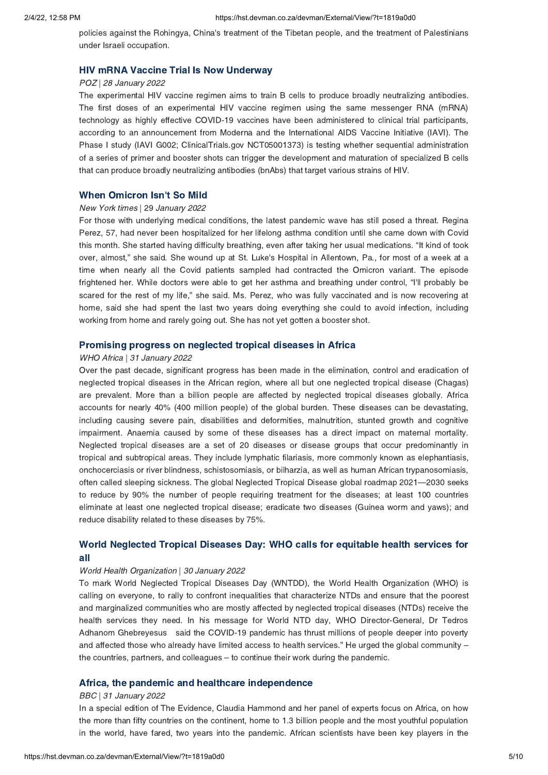policies against the Rohingya, China's treatment of the Tibetan people, and the treatment of Palestinians under Israeli occupation.

# HIV mRNA Vaccine Trial Is Now Underway POZ | 28 January 2022

The experimental HIV vaccine regimen aims to train B cells to produce broadly neutralizing antibodies. The first doses of an experimental HIV vaccine regimen using the same messenger RNA (mRNA) technology as highly effective COVID-19 vaccines have been administered to clinical trial participants, according to an announcement from Moderna and the International AIDS Vaccine Initiative (IAVI). The Phase I study (IAVI G002; ClinicalTrials.gov NCT05001373) is testing whether sequential administration of a series of primer and booster shots can trigger the development and maturation of specialized B cells that can produce broadly neutralizing antibodies (bnAbs) that target various strains of HIV.

# **When Omicron Isn['](https://hst.devman.co.za/devman/external/?t=e7cc72f)t So Mild**<br>New York times | 29 January 2022

For those with underlying medical conditions, the latest pandemic wave has still posed a threat. Regina Perez, 57, had never been hospitalized for her lifelong asthma condition until she came down with Covid this month. She started having difficulty breathing, even after taking her usual medications. "It kind of took over, almost," she said. She wound up at St. Luke's Hospital in Allentown, Pa., for most of a week at a time when nearly all the Covid patients sampled had contracted the Omicron variant. The episode frightened her. While doctors were able to get her asthma and breathing under control, "I'll probably be scared for the rest of my life," she said. Ms. Perez, who was fully vaccinated and is now recovering at home, said she had spent the last two years doing everything she could to avoid infection, including working from home and rarely going out. She has not yet gotten a booster shot.

# Promising progress on neglected tropical diseases in Africa WHO Africa | 31 January 2022

Over the past decade, significant progress has been made in the elimination, control and eradication of neglected tropical diseases in the African region, where all but one neglected tropical disease (Chagas) are prevalent. More than a billion people are affected by neglected tropical diseases globally. Africa accounts for nearly 40% (400 million people) of the global burden. These diseases can be devastating, including causing severe pain, disabilities and deformities, malnutrition, stunted growth and cognitive impairment. Anaemia caused by some of these diseases has a direct impact on maternal mortality. Neglected tropical diseases are a set of 20 diseases or disease groups that occur predominantly in tropical and subtropical areas. They include lymphatic filariasis, more commonly known as elephantiasis, onchocerciasis or river blindness, schistosomiasis, or bilharzia, as well as human African trypanosomiasis, often called sleeping sickness. The global Neglected Tropical Disease global roadmap 2021—2030 seeks to reduce by 90% the number of people requiring treatment for the diseases; at least 100 countries eliminate at least one neglected tropical disease; eradicate two diseases (Guinea worm and yaws); and reduce disability related to these diseases by 75%.

# World [Neglected](https://hst.devman.co.za/devman/external/?t=2fd2e63c) Tropical Diseases Day: WHO calls for equitable health services for

# ----<br>World Health Organization | 30 January 2022

To mark World Neglected Tropical Diseases Day (WNTDD), the World Health Organization (WHO) is calling on everyone, to rally to confront inequalities that characterize NTDs and ensure that the poorest and marginalized communities who are mostly affected by neglected tropical diseases (NTDs) receive the health services they need. In his message for World NTD day, WHO Director-General, Dr Tedros Adhanom Ghebreyesus said the COVID-19 pandemic has thrust millions of people deeper into poverty and affected those who already have limited access to health services." He urged the global community – the countries, partners, and colleagues – to continue their work during the pandemic.

# Africa, the pandemic and healthcare independence BBC | 31 January 2022

In a special edition of The Evidence, Claudia Hammond and her panel of experts focus on Africa, on how the more than fifty countries on the continent, home to 1.3 billion people and the most youthful population in the world, have fared, two years into the pandemic. African scientists have been key players in the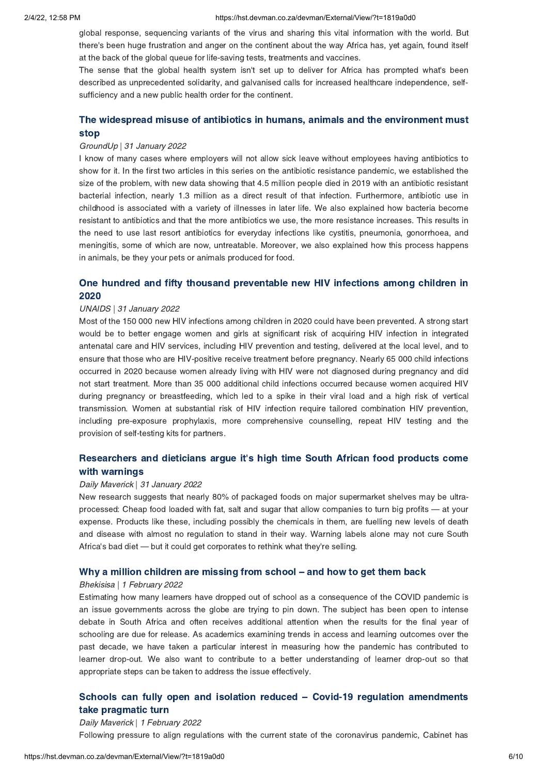global response, sequencing variants of the virus and sharing this vital information with the world. But there's been huge frustration and anger on the continent about the way Africa has, yet again, found itself at the back of the global queue for life-saving tests, treatments and vaccines.

The sense that the global health system isn't set up to deliver for Africa has prompted what's been described as unprecedented solidarity, and galvanised calls for increased healthcare independence, selfsufficiency and a new public health order for the continent.

# The widespread misuse of antibiotics in humans, animals and the [environment](https://hst.devman.co.za/devman/external/?t=27bfbd7e) must

# stop GroundUp | 31 January 2022

I know of many cases where employers will not allow sick leave without employees having antibiotics to show for it. In the first two articles in this series on the antibiotic resistance pandemic, we established the size of the problem, with new data showing that 4.5 million people died in 2019 with an antibiotic resistant bacterial infection, nearly 1.3 million as a direct result of that infection. Furthermore, antibiotic use in childhood is associated with a variety of illnesses in later life. We also explained how bacteria become resistant to antibiotics and that the more antibiotics we use, the more resistance increases. This results in the need to use last resort antibiotics for everyday infections like cystitis, pneumonia, gonorrhoea, and meningitis, some of which are now, untreatable. Moreover, we also explained how this process happens in animals, be they your pets or animals produced for food.

# $2020$

# 2020 UNAIDS | 31 January 2022

Most of the 150 000 new HIV infections among children in 2020 could have been prevented. A strong start would be to better engage women and girls at significant risk of acquiring HIV infection in integrated antenatal care and HIV services, including HIV prevention and testing, delivered at the local level, and to ensure that those who are HIV-positive receive treatment before pregnancy. Nearly 65 000 child infections occurred in 2020 because women already living with HIV were not diagnosed during pregnancy and did not start treatment. More than 35 000 additional child infections occurred because women acquired HIV during pregnancy or breastfeeding, which led to a spike in their viral load and a high risk of vertical transmission. Women at substantial risk of HIV infection require tailored combination HIV prevention, including pre-exposure prophylaxis, more comprehensive counselling, repeat HIV testing and the provision of self-testing kits for partners.

# [Researchers](https://hst.devman.co.za/devman/external/?t=504857b8) and dieticians argue it's high time South African food products come

# with warnings<br>Daily Maverick | 31 January 2022

New research suggests that nearly 80% of packaged foods on major supermarket shelves may be ultraprocessed: Cheap food loaded with fat, salt and sugar that allow companies to turn big profits — at your expense. Products like these, including possibly the chemicals in them, are fuelling new levels of death and disease with almost no regulation to stand in their way. Warning labels alone may not cure South Africa's bad diet — but it could get corporates to rethink what they're selling.

### Why a million children are missing from school [–](https://hst.devman.co.za/devman/external/?t=38172417) and how to get them back

### Bhekisisa | 1 February 2022

Estimating how many learners have dropped out of school as a consequence of the COVID pandemic is an issue governments across the globe are trying to pin down. The subject has been open to intense debate in South Africa and often receives additional attention when the results for the final year of schooling are due for release. As academics examining trends in access and learning outcomes over the past decade, we have taken a particular interest in measuring how the pandemic has contributed to learner drop-out. We also want to contribute to a better understanding of learner drop-out so that appropriate steps can be taken to address the issue effectively.

# Schools can fully open and isolation reduced – Covid-19 regulation [amendments](https://hst.devman.co.za/devman/external/?t=48352efa) take pragmatic turn

## Daily Maverick | 1 February 2022 Following pressure to align regulations with the current state of the coronavirus pandemic, Cabinet has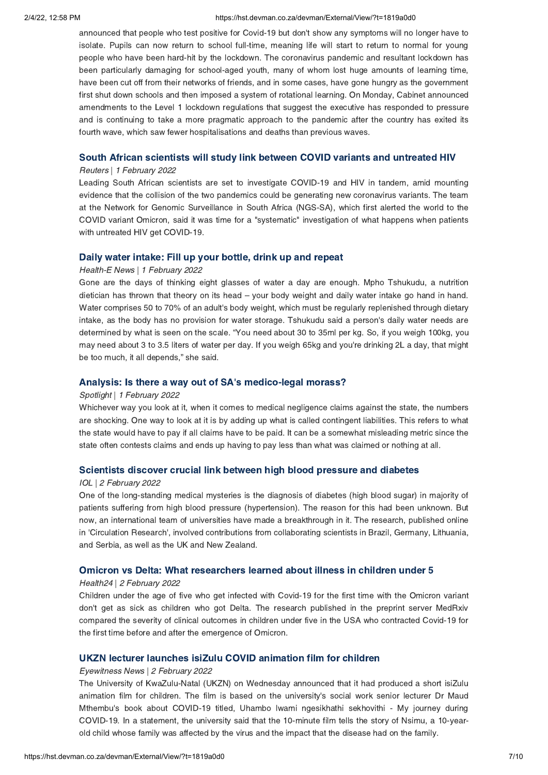### 2/4/22, 12:58 PM https://hst.devman.co.za/devman/External/View/?t=1819a0d0

announced that people who test positive for Covid-19 but don't show any symptoms will no longer have to isolate. Pupils can now return to school full-time, meaning life will start to return to normal for young people who have been hard-hit by the lockdown. The coronavirus pandemic and resultant lockdown has been particularly damaging for school-aged youth, many of whom lost huge amounts of learning time, have been cut off from their networks of friends, and in some cases, have gone hungry as the government first shut down schools and then imposed a system of rotational learning. On Monday, Cabinet announced amendments to the Level 1 lockdown regulations that suggest the executive has responded to pressure and is continuing to take a more pragmatic approach to the pandemic after the country has exited its fourth wave, which saw fewer hospitalisations and deaths than previous waves.

# South African scientists will study link between COVID variants and untreated HIV Reuters | 1 February 2022

Leading South African scientists are set to investigate COVID-19 and HIV in tandem, amid mounting evidence that the collision of the two pandemics could be generating new coronavirus variants. The team at the Network for Genomic Surveillance in South Africa (NGS-SA), which first alerted the world to the COVID variant Omicron, said it was time for a "systematic" investigation of what happens when patients with untreated HIV get COVID-19.

# Health-E News | 1 February 2022

Gone are the days of thinking eight glasses of water a day are enough. Mpho Tshukudu, a nutrition dietician has thrown that theory on its head – your body weight and daily water intake go hand in hand. Water comprises 50 to 70% of an adult's body weight, which must be regularly replenished through dietary intake, as the body has no provision for water storage. Tshukudu said a person's daily water needs are determined by what is seen on the scale. "You need about 30 to 35ml per kg. So, if you weigh 100kg, you may need about 3 to 3.5 liters of water per day. If you weigh 65kg and you're drinking 2L a day, that might be too much, it all depends," she said.

### Analysis: Is there a way out of SA['](https://hst.devman.co.za/devman/external/?t=be020f93)s medico-legal morass?

### Spotlight | 1 February 2022

Whichever way you look at it, when it comes to medical negligence claims against the state, the numbers are shocking. One way to look at it is by adding up what is called contingent liabilities. This refers to what the state would have to pay if all claims have to be paid. It can be a somewhat misleading metric since the state often contests claims and ends up having to pay less than what was claimed or nothing at all.

# Scientists discover crucial link between high blood pressure and diabetes IOL | 2 February 2022

One of the long-standing medical mysteries is the diagnosis of diabetes (high blood sugar) in majority of patients suffering from high blood pressure (hypertension). The reason for this had been unknown. But now, an international team of universities have made a breakthrough in it. The research, published online in 'Circulation Research', involved contributions from collaborating scientists in Brazil, Germany, Lithuania, and Serbia, as well as the UK and New Zealand.

# Omicron vs Delta: What researchers learned about illness in children under 5 Health24 | 2 February 2022

Children under the age of five who get infected with Covid-19 for the first time with the Omicron variant don't get as sick as children who got Delta. The research published in the preprint server MedRxiv compared the severity of clinical outcomes in children under five in the USA who contracted Covid-19 for the first time before and after the emergence of Omicron.

# UKZN LECTURER ISIZULU COVID ANIMATION FILM FOR CHILDREN FILM FOR CHILDREN EXPERIENCE.<br>Eyewitness News | 2 February 2022

The University of KwaZulu-Natal (UKZN) on Wednesday announced that it had produced a short isiZulu animation film for children. The film is based on the university's social work senior lecturer Dr Maud Mthembu's book about COVID-19 titled, Uhambo lwami ngesikhathi sekhovithi - My journey during COVID-19. In a statement, the university said that the 10-minute film tells the story of Nsimu, a 10-yearold child whose family was affected by the virus and the impact that the disease had on the family.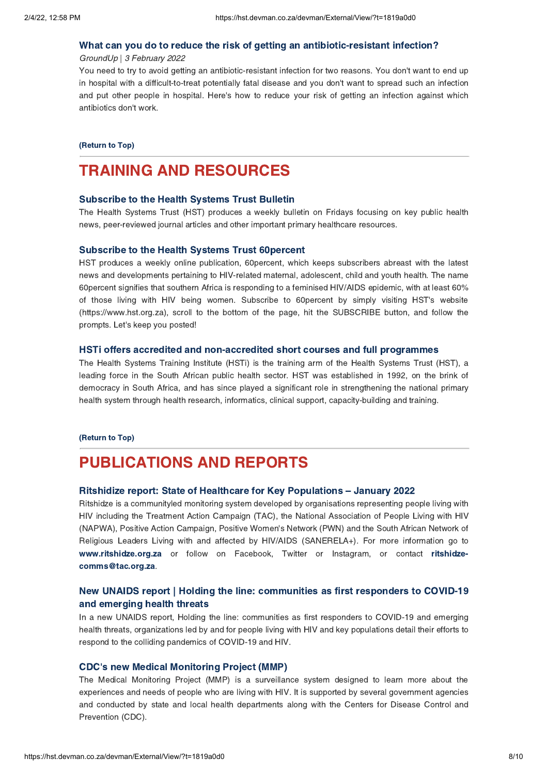# What can you do to reduce the risk of getting an antibiotic-resistant infection? GroundUp | 3 February 2022

You need to try to avoid getting an antibiotic-resistant infection for two reasons. You don't want to end up in hospital with a difficult-to-treat potentially fatal disease and you don't want to spread such an infection and put other people in hospital. Here's how to reduce your risk of getting an infection against which antibiotics don't work.

### (Return to Top)

# <span id="page-7-0"></span>**TRAINING AND RESOURCES**

### **Subscribe to the Health Systems Trust Bulletin**

Subscribe to the Health Systems Trust Bulletin The Health Systems Trust (HST) produces a weekly bulletin on Fridays focusing on key public health news, peer-reviewed journal articles and other important primary healthcare resources.

HST produces a weekly online publication, 60percent, which keeps subscribers abreast with the latest news and developments pertaining to HIV-related maternal, adolescent, child and youth health. The name 60percent signifies that southern Africa is responding to a feminised HIV/AIDS epidemic, with at least 60% of those living with HIV being women. Subscribe to 60percent by simply visiting HST's website (https://www.hst.org.za), scroll to the bottom of the page, hit the SUBSCRIBE button, and follow the prompts. Let's keep you posted!

The Health Systems Training Institute (HSTi) is the training arm of the Health Systems Trust (HST), a leading force in the South African public health sector. HST was established in 1992, on the brink of democracy in South Africa, and has since played a significant role in strengthening the national primary health system through health research, informatics, clinical support, capacity-building and training.

### (Return to Top)

# **PUBLICATIONS AND REPORTS** Publications and the control of Hookhoove for Key Down

# **Ritshidize report: State of Healthcare for Key Populations – January 2022**<br>Ritshidze is a communityled monitoring system developed by organisations representing peo

Ritshidze is a communityled monitoring system developed by organisations representing people living with HIV including the Treatment Action Campaign (TAC), the National Association of People Living with HIV (NAPWA), Positive Action Campaign, Positive Women's Network (PWN) and the South African Network of Religious Leaders Living with and affected by HIV/AIDS (SANERELA+). For more information go to [www.ritshidze.org.za](mailto:ritshidze-comms@tac.org.za) or follow on Facebook, Twitter or Instagram, or contact ritshidzecomms@tac.org.za.

# New UNAIDS report | Holding the line: [communities](https://hst.devman.co.za/devman/external/?t=a4604a25) as first responders to COVID-19 and emerging health threats

and emerging resum and the line<br>In a new UNAIDS report, Holding the line: communities as first responders to COVID-19 and emerging health threats, organizations led by and for people living with HIV and key populations detail their efforts to respond to the colliding pandemics of COVID-19 and HIV.

CDC['](https://hst.devman.co.za/devman/external/?t=8c2f1684)s new Medical Monitoring Project (MMP) The Medical Monitoring Project (MMP) is a surveillance system designed to learn more about the experiences and needs of people who are living with HIV. It is supported by several government agencies and conducted by state and local health departments along with the Centers for Disease Control and Prevention (CDC).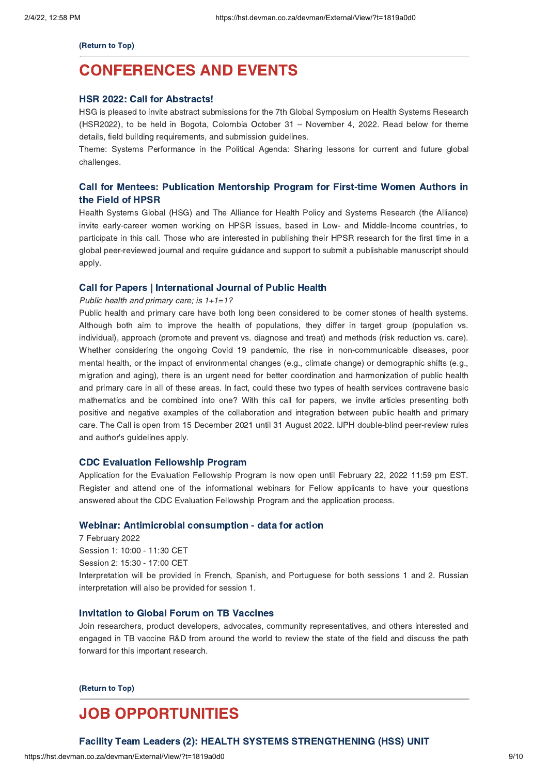(Return to Top)

# <span id="page-8-0"></span>**CONFERENCES AND EVENTS** [CONFERENCES](https://hst.devman.co.za/devman/external/?t=91d6ce32) AND EVERY STATE OF THE STATE OF THE STATE OF THE STATE OF THE STATE OF THE STATE OF THE STATE OF THE STATE OF THE STATE OF THE STATE OF THE STATE OF THE STATE OF THE STATE OF THE STATE OF THE STATE OF THE STATE

HSR 2022: Call for Abstracts! HSG is pleased to invite abstract submissions for the 7th Global Symposium on Health Systems Research (HSR2022), to be held in Bogota, Colombia October 31 – November 4, 2022. Read below for theme details, field building requirements, and submission guidelines.

Theme: Systems Performance in the Political Agenda: Sharing lessons for current and future global challenges.

# Call for Mentees: [Publication](https://hst.devman.co.za/devman/external/?t=79a59a91) Mentorship Program for First-time Women Authors in

the Field of HPSR Health Systems Global (HSG) and The Alliance for Health Policy and Systems Research (the Alliance) invite early-career women working on HPSR issues, based in Low- and Middle-Income countries, to participate in this call. Those who are interested in publishing their HPSR research for the first time in a global peer-reviewed journal and require guidance and support to submit a publishable manuscript should apply.

## Public health and primary care; is  $1+1=1$ ?

Public health and primary care have both long been considered to be corner stones of health systems. Although both aim to improve the health of populations, they differ in target group (population vs. individual), approach (promote and prevent vs. diagnose and treat) and methods (risk reduction vs. care). Whether considering the ongoing Covid 19 pandemic, the rise in non-communicable diseases, poor mental health, or the impact of environmental changes (e.g., climate change) or demographic shifts (e.g., migration and aging), there is an urgent need for better coordination and harmonization of public health and primary care in all of these areas. In fact, could these two types of health services contravene basic mathematics and be combined into one? With this call for papers, we invite articles presenting both positive and negative examples of the collaboration and integration between public health and primary care. The Call is open from 15 December 2021 until 31 August 2022. IJPH double-blind peer-review rules and author's guidelines apply.

CDC Evaluation Fellowship Program Application for the Evaluation Fellowship Program is now open until February 22, 2022 11:59 pm EST. Register and attend one of the informational webinars for Fellow applicants to have your questions answered about the CDC Evaluation Fellowship Program and the application process.

Webinar: Antimicrobial consumption - data for action 7 February 2022 Session 1: 10:00 - 11:30 CET Session 2: 15:30 - 17:00 CET Interpretation will be provided in French, Spanish, and Portuguese for both sessions 1 and 2. Russian interpretation will also be provided for session 1.

Invitation to Global Forum on TB Vaccines Join researchers, product developers, advocates, community representatives, and others interested and engaged in TB vaccine R&D from around the world to review the state of the field and discuss the path forward for this important research.

(Return to Top)

# <span id="page-8-1"></span>**JOB OPPORTUNITIES**

## Facility Team Leaders (2): HEALTH SYSTEMS STRENGTHENING (HSS) UNIT